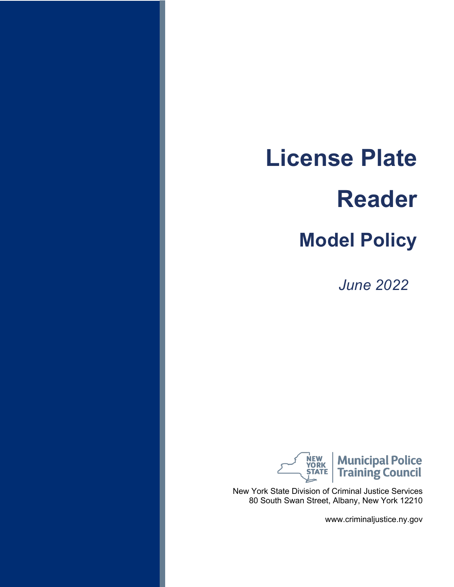*June 2022*



New York State Division of Criminal Justice Services 80 South Swan Street, Albany, New York 12210

www.criminaljustice.ny.gov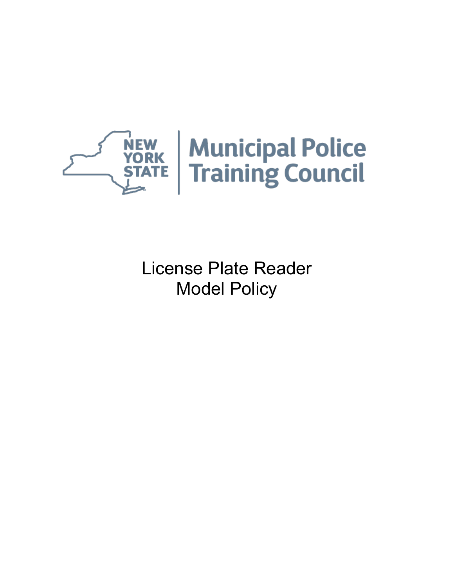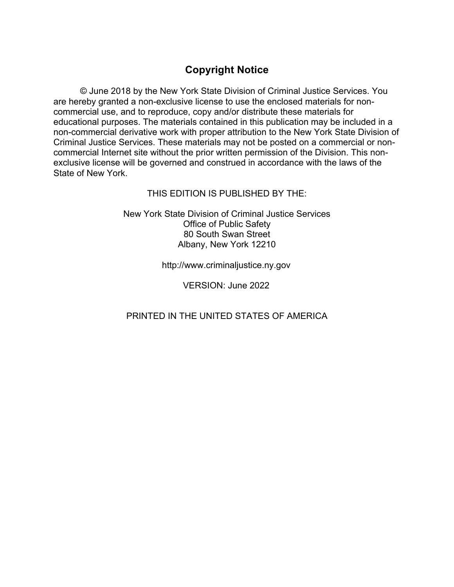#### **Copyright Notice**

© June 2018 by the New York State Division of Criminal Justice Services. You are hereby granted a non-exclusive license to use the enclosed materials for noncommercial use, and to reproduce, copy and/or distribute these materials for educational purposes. The materials contained in this publication may be included in a non-commercial derivative work with proper attribution to the New York State Division of Criminal Justice Services. These materials may not be posted on a commercial or noncommercial Internet site without the prior written permission of the Division. This nonexclusive license will be governed and construed in accordance with the laws of the State of New York.

#### THIS EDITION IS PUBLISHED BY THE:

New York State Division of Criminal Justice Services Office of Public Safety 80 South Swan Street Albany, New York 12210

http://www.criminaljustice.ny.gov

VERSION: June 2022

PRINTED IN THE UNITED STATES OF AMERICA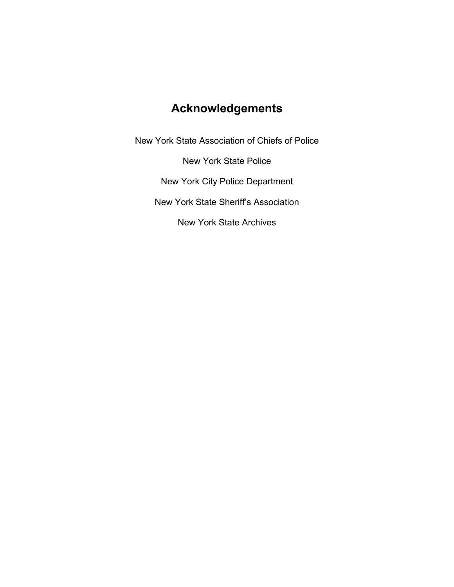# **Acknowledgements**

New York State Association of Chiefs of Police New York State Police New York City Police Department New York State Sheriff's Association New York State Archives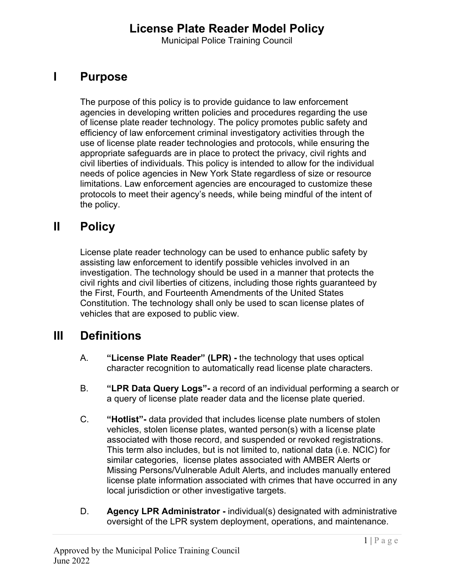Municipal Police Training Council

# **I Purpose**

The purpose of this policy is to provide guidance to law enforcement agencies in developing written policies and procedures regarding the use of license plate reader technology. The policy promotes public safety and efficiency of law enforcement criminal investigatory activities through the use of license plate reader technologies and protocols, while ensuring the appropriate safeguards are in place to protect the privacy, civil rights and civil liberties of individuals. This policy is intended to allow for the individual needs of police agencies in New York State regardless of size or resource limitations. Law enforcement agencies are encouraged to customize these protocols to meet their agency's needs, while being mindful of the intent of the policy.

#### **II Policy**

License plate reader technology can be used to enhance public safety by assisting law enforcement to identify possible vehicles involved in an investigation. The technology should be used in a manner that protects the civil rights and civil liberties of citizens, including those rights guaranteed by the First, Fourth, and Fourteenth Amendments of the United States Constitution. The technology shall only be used to scan license plates of vehicles that are exposed to public view.

#### **III Definitions**

- A. **"License Plate Reader" (LPR) -** the technology that uses optical character recognition to automatically read license plate characters.
- B. **"LPR Data Query Logs"-** a record of an individual performing a search or a query of license plate reader data and the license plate queried.
- C. **"Hotlist"-** data provided that includes license plate numbers of stolen vehicles, stolen license plates, wanted person(s) with a license plate associated with those record, and suspended or revoked registrations. This term also includes, but is not limited to, national data (i.e. NCIC) for similar categories, license plates associated with AMBER Alerts or Missing Persons/Vulnerable Adult Alerts, and includes manually entered license plate information associated with crimes that have occurred in any local jurisdiction or other investigative targets.
- D. **Agency LPR Administrator** individual(s) designated with administrative oversight of the LPR system deployment, operations, and maintenance.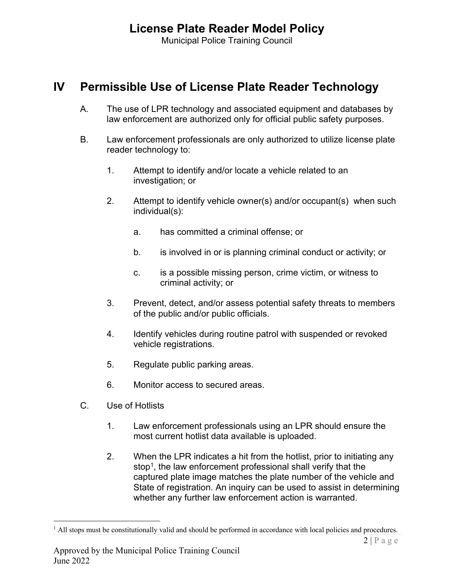Municipal Police Training Council

#### **IV Permissible Use of License Plate Reader Technology**

- A. The use of LPR technology and associated equipment and databases by law enforcement are authorized only for official public safety purposes.
- B. Law enforcement professionals are only authorized to utilize license plate reader technology to:
	- 1. Attempt to identify and/or locate a vehicle related to an investigation; or
	- 2. Attempt to identify vehicle owner(s) and/or occupant(s) when such individual(s):
		- a. has committed a criminal offense; or
		- b. is involved in or is planning criminal conduct or activity; or
		- c. is a possible missing person, crime victim, or witness to criminal activity; or
	- 3. Prevent, detect, and/or assess potential safety threats to members of the public and/or public officials.
	- 4. Identify vehicles during routine patrol with suspended or revoked vehicle registrations.
	- 5. Regulate public parking areas.
	- 6. Monitor access to secured areas.
- C. Use of Hotlists
	- 1. Law enforcement professionals using an LPR should ensure the most current hotlist data available is uploaded.
	- 2. When the LPR indicates a hit from the hotlist, prior to initiating any stop<sup>1</sup>, the law enforcement professional shall verify that the captured plate image matches the plate number of the vehicle and State of registration. An inquiry can be used to assist in determining whether any further law enforcement action is warranted.

<sup>&</sup>lt;sup>1</sup> All stops must be constitutionally valid and should be performed in accordance with local policies and procedures.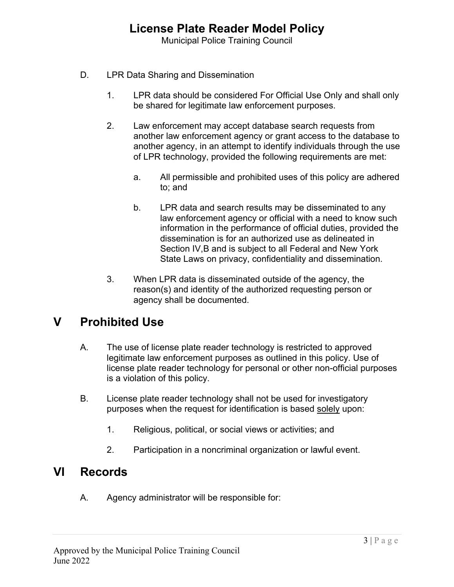Municipal Police Training Council

- D. LPR Data Sharing and Dissemination
	- 1. LPR data should be considered For Official Use Only and shall only be shared for legitimate law enforcement purposes.
	- 2. Law enforcement may accept database search requests from another law enforcement agency or grant access to the database to another agency, in an attempt to identify individuals through the use of LPR technology, provided the following requirements are met:
		- a. All permissible and prohibited uses of this policy are adhered to; and
		- b. LPR data and search results may be disseminated to any law enforcement agency or official with a need to know such information in the performance of official duties, provided the dissemination is for an authorized use as delineated in Section IV,B and is subject to all Federal and New York State Laws on privacy, confidentiality and dissemination.
	- 3. When LPR data is disseminated outside of the agency, the reason(s) and identity of the authorized requesting person or agency shall be documented.

### **V Prohibited Use**

- A. The use of license plate reader technology is restricted to approved legitimate law enforcement purposes as outlined in this policy. Use of license plate reader technology for personal or other non-official purposes is a violation of this policy.
- B. License plate reader technology shall not be used for investigatory purposes when the request for identification is based solely upon:
	- 1. Religious, political, or social views or activities; and
	- 2. Participation in a noncriminal organization or lawful event.

#### **VI Records**

A. Agency administrator will be responsible for: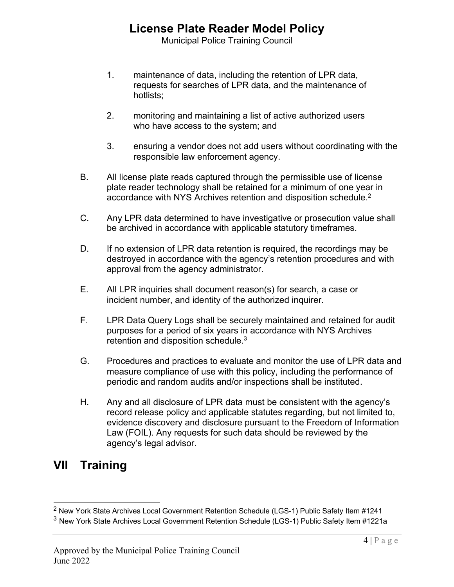Municipal Police Training Council

- 1. maintenance of data, including the retention of LPR data, requests for searches of LPR data, and the maintenance of hotlists;
- 2. monitoring and maintaining a list of active authorized users who have access to the system; and
- 3. ensuring a vendor does not add users without coordinating with the responsible law enforcement agency.
- B. All license plate reads captured through the permissible use of license plate reader technology shall be retained for a minimum of one year in accordance with NYS Archives retention and disposition schedule.<sup>2</sup>
- C. Any LPR data determined to have investigative or prosecution value shall be archived in accordance with applicable statutory timeframes.
- D. If no extension of LPR data retention is required, the recordings may be destroyed in accordance with the agency's retention procedures and with approval from the agency administrator.
- E. All LPR inquiries shall document reason(s) for search, a case or incident number, and identity of the authorized inquirer.
- F. LPR Data Query Logs shall be securely maintained and retained for audit purposes for a period of six years in accordance with NYS Archives retention and disposition schedule.<sup>3</sup>
- G. Procedures and practices to evaluate and monitor the use of LPR data and measure compliance of use with this policy, including the performance of periodic and random audits and/or inspections shall be instituted.
- H. Any and all disclosure of LPR data must be consistent with the agency's record release policy and applicable statutes regarding, but not limited to, evidence discovery and disclosure pursuant to the Freedom of Information Law (FOIL). Any requests for such data should be reviewed by the agency's legal advisor.

### **VII Training**

<sup>&</sup>lt;sup>2</sup> New York State Archives Local Government Retention Schedule (LGS-1) Public Safety Item #1241

<sup>3</sup> New York State Archives Local Government Retention Schedule (LGS-1) Public Safety Item #1221a